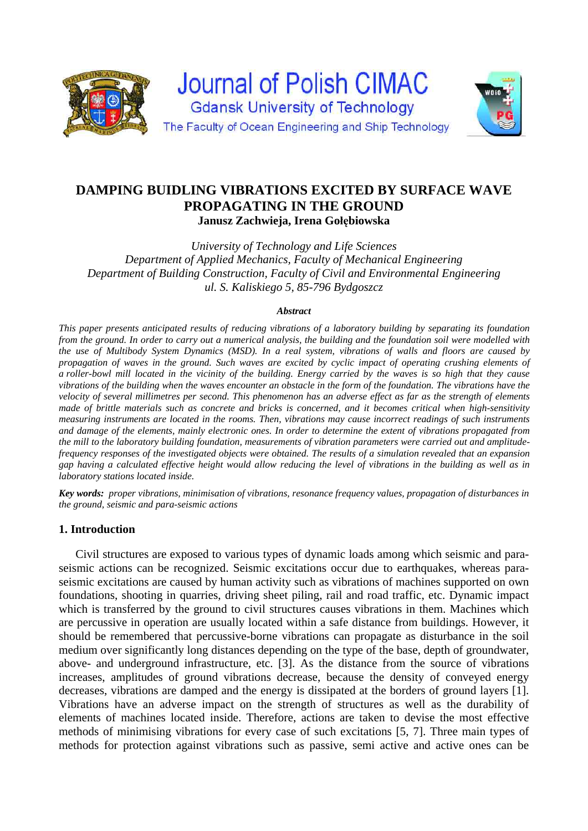

**Journal of Polish CIMAC Gdansk University of Technology** The Faculty of Ocean Engineering and Ship Technology



# **DAMPING BUIDLING VIBRATIONS EXCITED BY SURFACE WAVE PROPAGATING IN THE GROUND Janusz Zachwieja, Irena Gołębiowska**

*University of Technology and Life Sciences Department of Applied Mechanics, Faculty of Mechanical Engineering Department of Building Construction, Faculty of Civil and Environmental Engineering ul. S. Kaliskiego 5, 85-796 Bydgoszcz* 

#### *Abstract*

*This paper presents anticipated results of reducing vibrations of a laboratory building by separating its foundation from the ground. In order to carry out a numerical analysis, the building and the foundation soil were modelled with the use of Multibody System Dynamics (MSD). In a real system, vibrations of walls and floors are caused by propagation of waves in the ground. Such waves are excited by cyclic impact of operating crushing elements of a roller-bowl mill located in the vicinity of the building. Energy carried by the waves is so high that they cause vibrations of the building when the waves encounter an obstacle in the form of the foundation. The vibrations have the velocity of several millimetres per second. This phenomenon has an adverse effect as far as the strength of elements made of brittle materials such as concrete and bricks is concerned, and it becomes critical when high-sensitivity measuring instruments are located in the rooms. Then, vibrations may cause incorrect readings of such instruments and damage of the elements, mainly electronic ones. In order to determine the extent of vibrations propagated from the mill to the laboratory building foundation, measurements of vibration parameters were carried out and amplitudefrequency responses of the investigated objects were obtained. The results of a simulation revealed that an expansion gap having a calculated effective height would allow reducing the level of vibrations in the building as well as in laboratory stations located inside.* 

*Key words: proper vibrations, minimisation of vibrations, resonance frequency values, propagation of disturbances in the ground, seismic and para-seismic actions*

### **1. Introduction**

Civil structures are exposed to various types of dynamic loads among which seismic and paraseismic actions can be recognized. Seismic excitations occur due to earthquakes, whereas paraseismic excitations are caused by human activity such as vibrations of machines supported on own foundations, shooting in quarries, driving sheet piling, rail and road traffic, etc. Dynamic impact which is transferred by the ground to civil structures causes vibrations in them. Machines which are percussive in operation are usually located within a safe distance from buildings. However, it should be remembered that percussive-borne vibrations can propagate as disturbance in the soil medium over significantly long distances depending on the type of the base, depth of groundwater, above- and underground infrastructure, etc. [3]. As the distance from the source of vibrations increases, amplitudes of ground vibrations decrease, because the density of conveyed energy decreases, vibrations are damped and the energy is dissipated at the borders of ground layers [1]. Vibrations have an adverse impact on the strength of structures as well as the durability of elements of machines located inside. Therefore, actions are taken to devise the most effective methods of minimising vibrations for every case of such excitations [5, 7]. Three main types of methods for protection against vibrations such as passive, semi active and active ones can be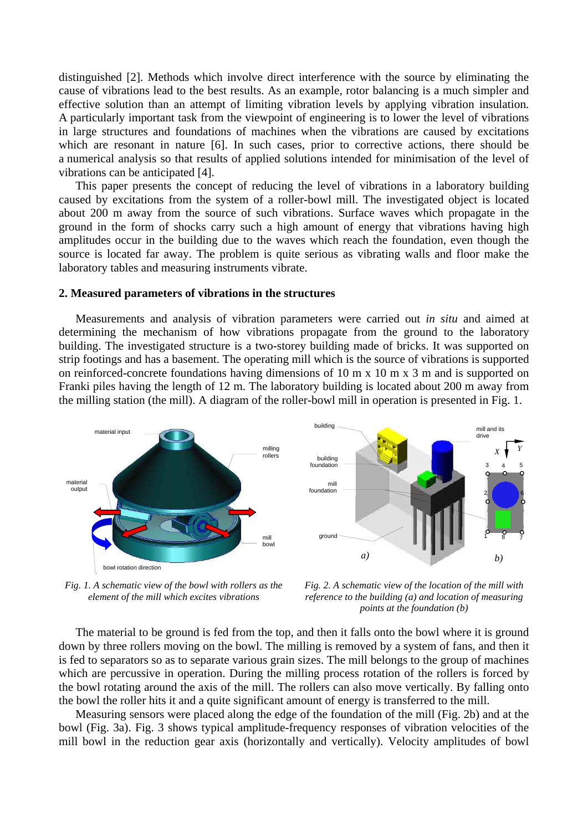distinguished [2]. Methods which involve direct interference with the source by eliminating the cause of vibrations lead to the best results. As an example, rotor balancing is a much simpler and effective solution than an attempt of limiting vibration levels by applying vibration insulation. A particularly important task from the viewpoint of engineering is to lower the level of vibrations in large structures and foundations of machines when the vibrations are caused by excitations which are resonant in nature [6]. In such cases, prior to corrective actions, there should be a numerical analysis so that results of applied solutions intended for minimisation of the level of vibrations can be anticipated [4].

This paper presents the concept of reducing the level of vibrations in a laboratory building caused by excitations from the system of a roller-bowl mill. The investigated object is located about 200 m away from the source of such vibrations. Surface waves which propagate in the ground in the form of shocks carry such a high amount of energy that vibrations having high amplitudes occur in the building due to the waves which reach the foundation, even though the source is located far away. The problem is quite serious as vibrating walls and floor make the laboratory tables and measuring instruments vibrate.

#### **2. Measured parameters of vibrations in the structures**

Measurements and analysis of vibration parameters were carried out *in situ* and aimed at determining the mechanism of how vibrations propagate from the ground to the laboratory building. The investigated structure is a two-storey building made of bricks. It was supported on strip footings and has a basement. The operating mill which is the source of vibrations is supported on reinforced-concrete foundations having dimensions of 10 m x 10 m x 3 m and is supported on Franki piles having the length of 12 m. The laboratory building is located about 200 m away from the milling station (the mill). A diagram of the roller-bowl mill in operation is presented in Fig. 1.





*Fig. 1. A schematic view of the bowl with rollers as the element of the mill which excites vibrations*

*Fig. 2. A schematic view of the location of the mill with reference to the building (a) and location of measuring points at the foundation (b)* 

The material to be ground is fed from the top, and then it falls onto the bowl where it is ground down by three rollers moving on the bowl. The milling is removed by a system of fans, and then it is fed to separators so as to separate various grain sizes. The mill belongs to the group of machines which are percussive in operation. During the milling process rotation of the rollers is forced by the bowl rotating around the axis of the mill. The rollers can also move vertically. By falling onto the bowl the roller hits it and a quite significant amount of energy is transferred to the mill.

Measuring sensors were placed along the edge of the foundation of the mill (Fig. 2b) and at the bowl (Fig. 3a). Fig. 3 shows typical amplitude-frequency responses of vibration velocities of the mill bowl in the reduction gear axis (horizontally and vertically). Velocity amplitudes of bowl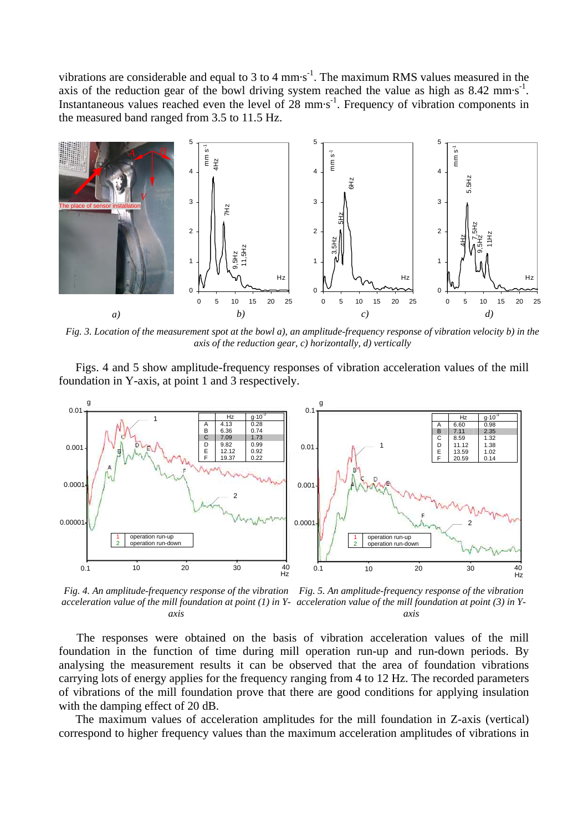vibrations are considerable and equal to 3 to 4 mm $\cdot$ s<sup>-1</sup>. The maximum RMS values measured in the axis of the reduction gear of the bowl driving system reached the value as high as  $8.42 \text{ mm} \cdot \text{s}^{-1}$ . Instantaneous values reached even the level of 28 mm·s<sup>-1</sup>. Frequency of vibration components in the measured band ranged from 3.5 to 11.5 Hz.



*Fig. 3. Location of the measurement spot at the bowl a), an amplitude-frequency response of vibration velocity b) in the axis of the reduction gear, c) horizontally, d) vertically*

Figs. 4 and 5 show amplitude-frequency responses of vibration acceleration values of the mill foundation in Y-axis, at point 1 and 3 respectively.



*Fig. 4. An amplitude-frequency response of the vibration acceleration value of the mill foundation at point (1) in Y-acceleration value of the mill foundation at point (3) in Yaxis Fig. 5. An amplitude-frequency response of the vibration axis*

The responses were obtained on the basis of vibration acceleration values of the mill foundation in the function of time during mill operation run-up and run-down periods. By analysing the measurement results it can be observed that the area of foundation vibrations carrying lots of energy applies for the frequency ranging from 4 to 12 Hz. The recorded parameters of vibrations of the mill foundation prove that there are good conditions for applying insulation with the damping effect of 20 dB.

The maximum values of acceleration amplitudes for the mill foundation in Z-axis (vertical) correspond to higher frequency values than the maximum acceleration amplitudes of vibrations in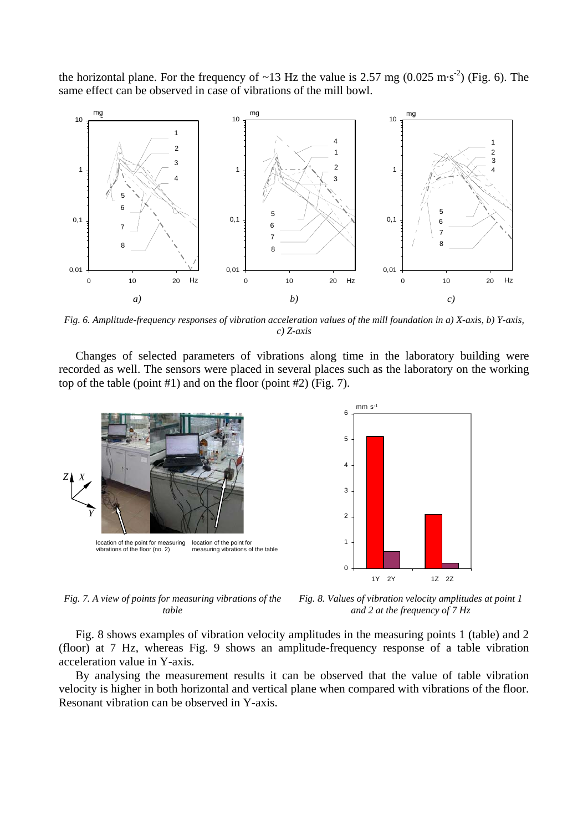the horizontal plane. For the frequency of ~13 Hz the value is 2.57 mg (0.025 m·s<sup>-2</sup>) (Fig. 6). The same effect can be observed in case of vibrations of the mill bowl.



*Fig. 6. Amplitude-frequency responses of vibration acceleration values of the mill foundation in a) X-axis, b) Y-axis, c) Z-axis*

Changes of selected parameters of vibrations along time in the laboratory building were recorded as well. The sensors were placed in several places such as the laboratory on the working top of the table (point #1) and on the floor (point #2) (Fig. 7).



*Fig. 7. A view of points for measuring vibrations of the table*

*Fig. 8. Values of vibration velocity amplitudes at point 1 and 2 at the frequency of 7 Hz*

Fig. 8 shows examples of vibration velocity amplitudes in the measuring points 1 (table) and 2 (floor) at 7 Hz, whereas Fig. 9 shows an amplitude-frequency response of a table vibration acceleration value in Y-axis.

By analysing the measurement results it can be observed that the value of table vibration velocity is higher in both horizontal and vertical plane when compared with vibrations of the floor. Resonant vibration can be observed in Y-axis.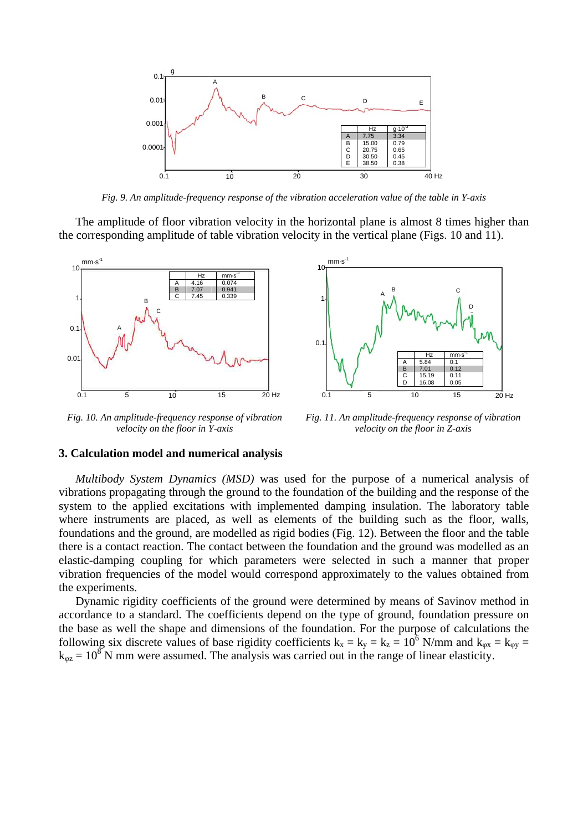

*Fig. 9. An amplitude-frequency response of the vibration acceleration value of the table in Y-axis*

The amplitude of floor vibration velocity in the horizontal plane is almost 8 times higher than the corresponding amplitude of table vibration velocity in the vertical plane (Figs. 10 and 11).



*Fig. 10. An amplitude-frequency response of vibration velocity on the floor in Y-axis*



*Fig. 11. An amplitude-frequency response of vibration velocity on the floor in Z-axis*

#### **3. Calculation model and numerical analysis**

*Multibody System Dynamics (MSD)* was used for the purpose of a numerical analysis of vibrations propagating through the ground to the foundation of the building and the response of the system to the applied excitations with implemented damping insulation. The laboratory table where instruments are placed, as well as elements of the building such as the floor, walls, foundations and the ground, are modelled as rigid bodies (Fig. 12). Between the floor and the table there is a contact reaction. The contact between the foundation and the ground was modelled as an elastic-damping coupling for which parameters were selected in such a manner that proper vibration frequencies of the model would correspond approximately to the values obtained from the experiments.

Dynamic rigidity coefficients of the ground were determined by means of Savinov method in accordance to a standard. The coefficients depend on the type of ground, foundation pressure on the base as well the shape and dimensions of the foundation. For the purpose of calculations the following six discrete values of base rigidity coefficients  $k_x = k_y = k_z = 10^6$  N/mm and  $k_{\varphi x} = k_{\varphi y} =$  $k_{\varphi z} = 10^8$  N mm were assumed. The analysis was carried out in the range of linear elasticity.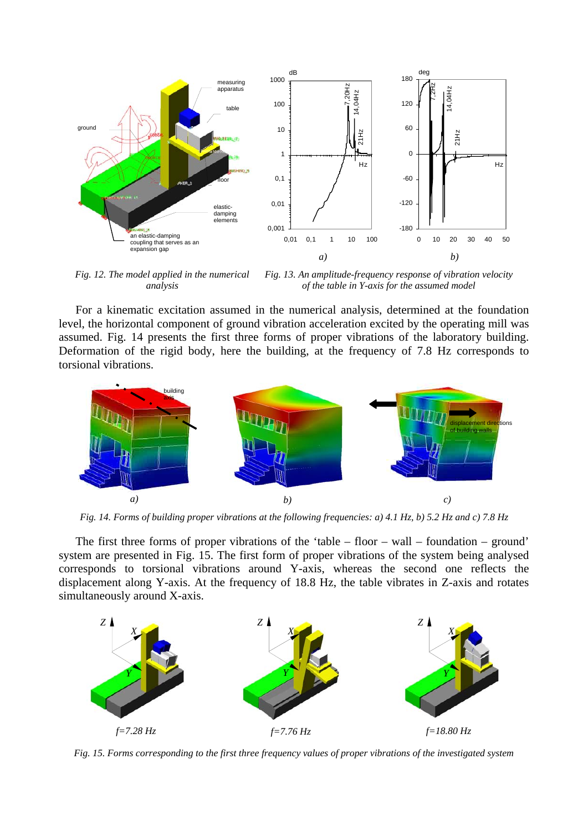

*Fig. 12. The model applied in the numerical analysis Fig. 13. An amplitude-frequency response of vibration velocity of the table in Y-axis for the assumed model* 

For a kinematic excitation assumed in the numerical analysis, determined at the foundation level, the horizontal component of ground vibration acceleration excited by the operating mill was assumed. Fig. 14 presents the first three forms of proper vibrations of the laboratory building. Deformation of the rigid body, here the building, at the frequency of 7.8 Hz corresponds to torsional vibrations.



*Fig. 14. Forms of building proper vibrations at the following frequencies: a) 4.1 Hz, b) 5.2 Hz and c) 7.8 Hz*

The first three forms of proper vibrations of the 'table – floor – wall – foundation – ground' system are presented in Fig. 15. The first form of proper vibrations of the system being analysed corresponds to torsional vibrations around Y-axis, whereas the second one reflects the displacement along Y-axis. At the frequency of 18.8 Hz, the table vibrates in Z-axis and rotates simultaneously around X-axis.



*Fig. 15. Forms corresponding to the first three frequency values of proper vibrations of the investigated system*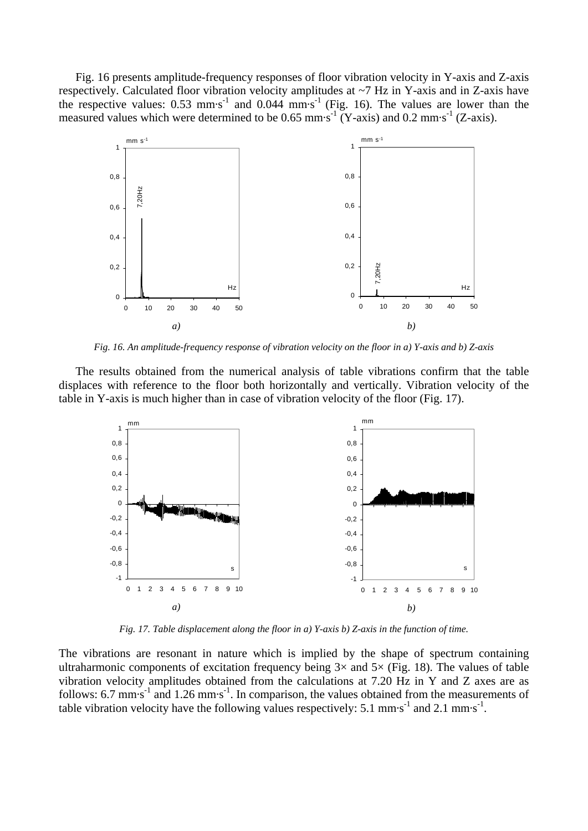Fig. 16 presents amplitude-frequency responses of floor vibration velocity in Y-axis and Z-axis respectively. Calculated floor vibration velocity amplitudes at ~7 Hz in Y-axis and in Z-axis have the respective values:  $0.53$  mm·s<sup>-1</sup> and  $0.044$  mm·s<sup>-1</sup> (Fig. 16). The values are lower than the measured values which were determined to be 0.65 mm·s<sup>-1</sup> (Y-axis) and 0.2 mm·s<sup>-1</sup> (Z-axis).



*Fig. 16. An amplitude-frequency response of vibration velocity on the floor in a) Y-axis and b) Z-axis*

The results obtained from the numerical analysis of table vibrations confirm that the table displaces with reference to the floor both horizontally and vertically. Vibration velocity of the table in Y-axis is much higher than in case of vibration velocity of the floor (Fig. 17).



*Fig. 17. Table displacement along the floor in a) Y-axis b) Z-axis in the function of time.*

The vibrations are resonant in nature which is implied by the shape of spectrum containing ultraharmonic components of excitation frequency being  $3\times$  and  $5\times$  (Fig. 18). The values of table vibration velocity amplitudes obtained from the calculations at 7.20 Hz in Y and Z axes are as follows: 6.7 mm·s<sup>-1</sup> and 1.26 mm·s<sup>-1</sup>. In comparison, the values obtained from the measurements of table vibration velocity have the following values respectively:  $5.1 \text{ mm} \cdot \text{s}^{-1}$  and  $2.1 \text{ mm} \cdot \text{s}^{-1}$ .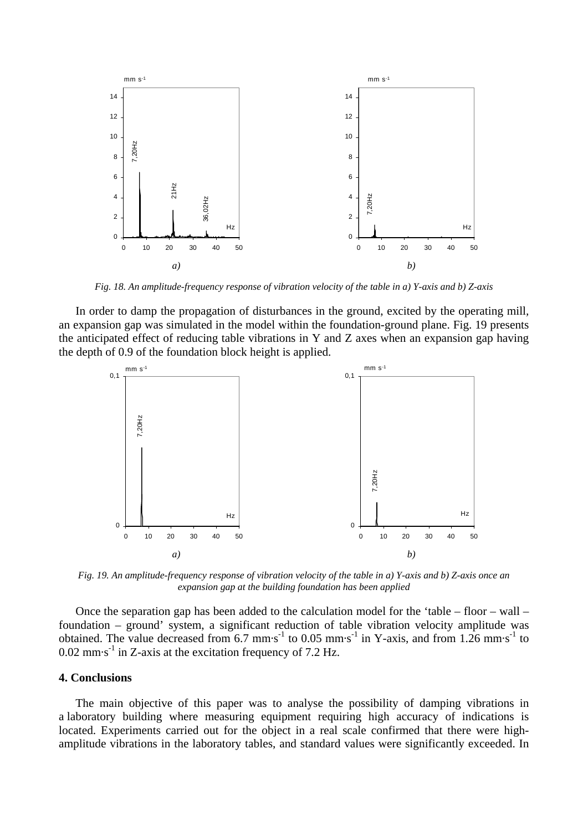

*Fig. 18. An amplitude-frequency response of vibration velocity of the table in a) Y-axis and b) Z-axis*

In order to damp the propagation of disturbances in the ground, excited by the operating mill*,*  an expansion gap was simulated in the model within the foundation-ground plane. Fig. 19 presents the anticipated effect of reducing table vibrations in Y and Z axes when an expansion gap having the depth of 0.9 of the foundation block height is applied.



*Fig. 19. An amplitude-frequency response of vibration velocity of the table in a) Y-axis and b) Z-axis once an expansion gap at the building foundation has been applied*

Once the separation gap has been added to the calculation model for the 'table – floor – wall – foundation – ground' system, a significant reduction of table vibration velocity amplitude was obtained. The value decreased from  $6.7 \text{ mm} \cdot \text{s}^{-1}$  to  $0.05 \text{ mm} \cdot \text{s}^{-1}$  in Y-axis, and from  $1.26 \text{ mm} \cdot \text{s}^{-1}$  to  $0.02$  mm $\cdot$ s<sup>-1</sup> in Z-axis at the excitation frequency of 7.2 Hz.

### **4. Conclusions**

The main objective of this paper was to analyse the possibility of damping vibrations in a laboratory building where measuring equipment requiring high accuracy of indications is located. Experiments carried out for the object in a real scale confirmed that there were highamplitude vibrations in the laboratory tables, and standard values were significantly exceeded. In